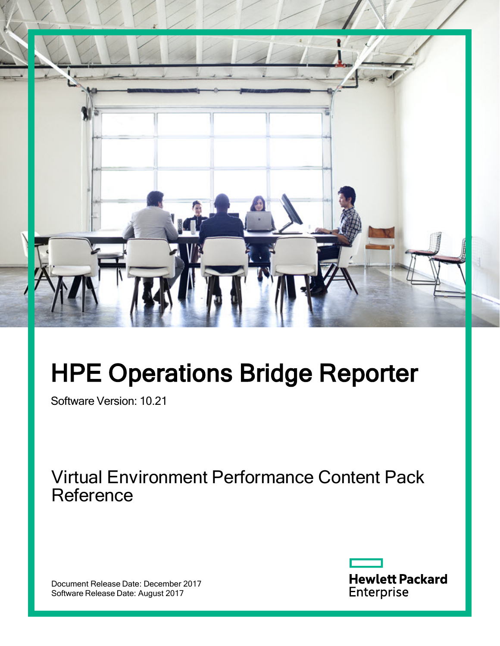

# HPE Operations Bridge Reporter

Software Version: 10.21

Virtual Environment Performance Content Pack **Reference** 

Document Release Date: December 2017 Software Release Date: August 2017

**Hewlett Packard** Enterprise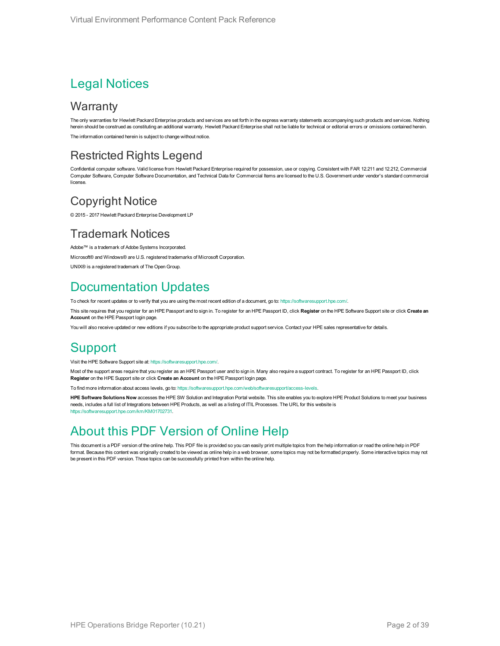### Legal Notices

### **Warranty**

The only warranties for Hewlett Packard Enterprise products and services are set forth in the express warranty statements accompanying such products and services. Nothing herein should be construed as constituting an additional warranty. Hewlett Packard Enterprise shall not be liable for technical or editorial errors or omissions contained herein. The information contained herein is subject to change without notice.

### Restricted Rights Legend

Confidential computer software. Valid license from Hewlett Packard Enterprise required for possession, use or copying. Consistent with FAR 12.211 and 12.212, Commercial Computer Software, Computer Software Documentation, and Technical Data for Commercial Items are licensed to the U.S. Government under vendor's standard commercial license.

### Copyright Notice

© 2015 - 2017 Hewlett Packard Enterprise Development LP

### Trademark Notices

Adobe™ is a trademark of Adobe Systems Incorporated.

Microsoft® and Windows® are U.S. registered trademarks of Microsoft Corporation.

UNIX® is a registered trademark of The Open Group.

### Documentation Updates

To check for recent updates or to verify that you are using the most recent edition of a document, go to: <https://softwaresupport.hpe.com/>.

This site requires that you register for an HPE Passport and to sign in. To register for an HPE Passport ID, click **Register** on the HPE Software Support site or click **Create an Account** on the HPE Passport login page.

You will also receive updated or new editions if you subscribe to the appropriate product support service. Contact your HPE sales representative for details.

### **Support**

Visit the HPE Software Support site at: <https://softwaresupport.hpe.com/>.

Most of the support areas require that you register as an HPE Passport user and to sign in. Many also require a support contract. To register for an HPE Passport ID, click **Register** on the HPE Support site or click **Create an Account** on the HPE Passport login page.

To find more information about access levels, go to: <https://softwaresupport.hpe.com/web/softwaresupport/access-levels>.

**HPE Software Solutions Now** accesses the HPE SW Solution and Integration Portal website. This site enables you to explore HPE Product Solutions to meet your business needs, includes a full list of Integrations between HPE Products, as well as a listing of ITIL Processes. The URL for this website is [https://softwaresupport.hpe.com/km/KM01702731.](https://softwaresupport.hpe.com/km/KM01702731)

### About this PDF Version of Online Help

This document is a PDF version of the online help. This PDF file is provided so you can easily print multiple topics from the help information or read the online help in PDF format. Because this content was originally created to be viewed as online help in a web browser, some topics may not be formatted properly. Some interactive topics may not be present in this PDF version. Those topics can be successfully printed from within the online help.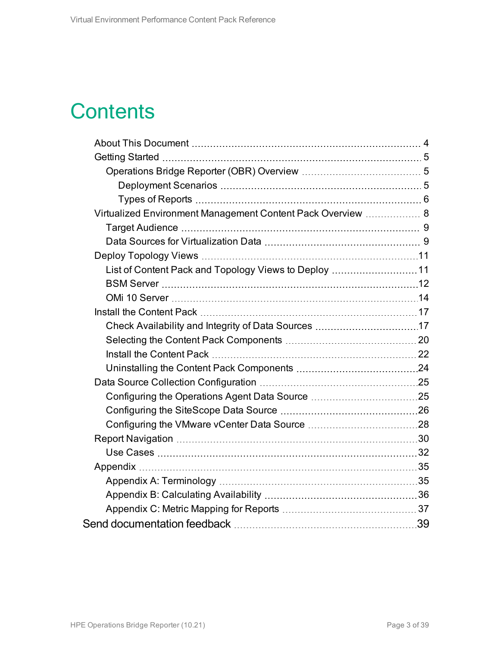## **Contents**

| Virtualized Environment Management Content Pack Overview  8 |  |
|-------------------------------------------------------------|--|
|                                                             |  |
|                                                             |  |
|                                                             |  |
| List of Content Pack and Topology Views to Deploy 11        |  |
|                                                             |  |
|                                                             |  |
|                                                             |  |
|                                                             |  |
|                                                             |  |
|                                                             |  |
|                                                             |  |
|                                                             |  |
|                                                             |  |
|                                                             |  |
|                                                             |  |
|                                                             |  |
|                                                             |  |
|                                                             |  |
|                                                             |  |
|                                                             |  |
|                                                             |  |
|                                                             |  |
|                                                             |  |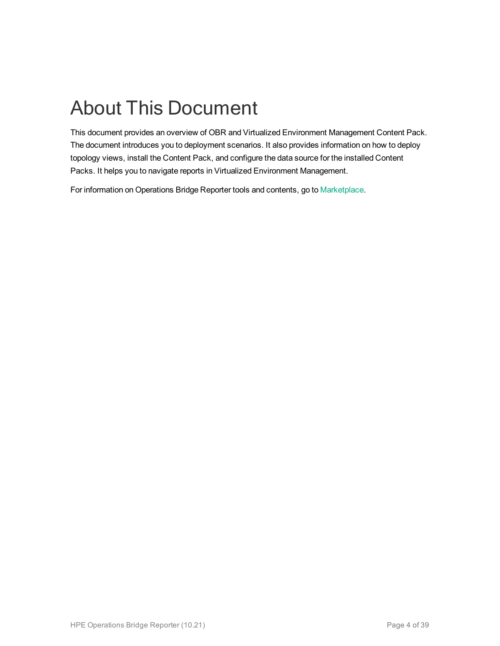# <span id="page-3-0"></span>About This Document

This document provides an overview of OBR and Virtualized Environment Management Content Pack. The document introduces you to deployment scenarios. It also provides information on how to deploy topology views, install the Content Pack, and configure the data source for the installed Content Packs. It helps you to navigate reports in Virtualized Environment Management.

For information on Operations Bridge Reporter tools and contents, go to [Marketplace.](https://marketplace.saas.hpe.com/itom/category/all?product=Operations%20Bridge%20Reporter&version=All%20versions&company=All%20companies)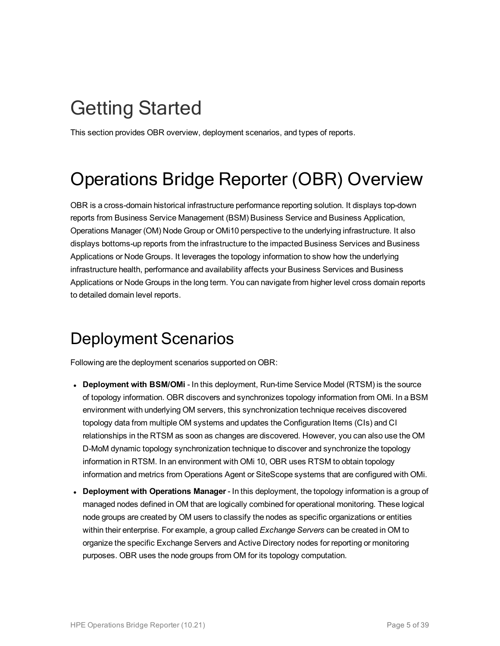## <span id="page-4-0"></span>Getting Started

<span id="page-4-1"></span>This section provides OBR overview, deployment scenarios, and types of reports.

## Operations Bridge Reporter (OBR) Overview

OBR is a cross-domain historical infrastructure performance reporting solution. It displays top-down reports from Business Service Management (BSM) Business Service and Business Application, Operations Manager (OM) Node Group or OMi10 perspective to the underlying infrastructure. It also displays bottoms-up reports from the infrastructure to the impacted Business Services and Business Applications or Node Groups. It leverages the topology information to show how the underlying infrastructure health, performance and availability affects your Business Services and Business Applications or Node Groups in the long term. You can navigate from higher level cross domain reports to detailed domain level reports.

### <span id="page-4-2"></span>Deployment Scenarios

Following are the deployment scenarios supported on OBR:

- **Deployment with BSM/OMi** In this deployment, Run-time Service Model (RTSM) is the source of topology information. OBR discovers and synchronizes topology information from OMi. In a BSM environment with underlying OM servers, this synchronization technique receives discovered topology data from multiple OM systems and updates the Configuration Items (CIs) and CI relationships in the RTSM as soon as changes are discovered. However, you can also use the OM D-MoM dynamic topology synchronization technique to discover and synchronize the topology information in RTSM. In an environment with OMi 10, OBR uses RTSM to obtain topology information and metrics from Operations Agent or SiteScope systems that are configured with OMi.
- <sup>l</sup> **Deployment with Operations Manager** In this deployment, the topology information is a group of managed nodes defined in OM that are logically combined for operational monitoring. These logical node groups are created by OM users to classify the nodes as specific organizations or entities within their enterprise. For example, a group called *Exchange Servers* can be created in OM to organize the specific Exchange Servers and Active Directory nodes for reporting or monitoring purposes. OBR uses the node groups from OM for its topology computation.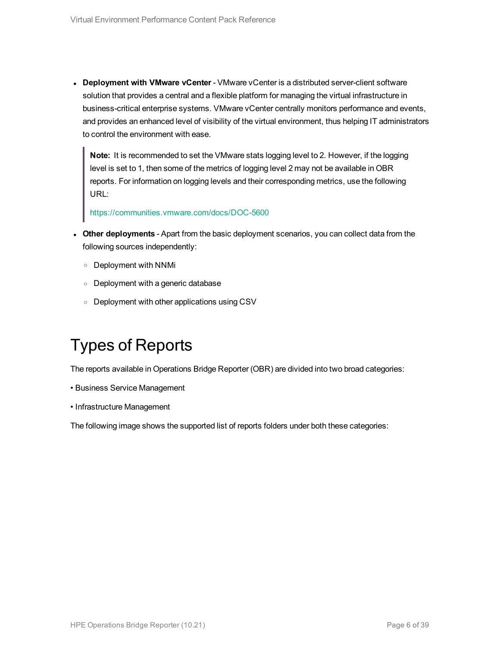<sup>l</sup> **Deployment with VMware vCenter** - VMware vCenter is a distributed server-client software solution that provides a central and a flexible platform for managing the virtual infrastructure in business-critical enterprise systems. VMware vCenter centrally monitors performance and events, and provides an enhanced level of visibility of the virtual environment, thus helping IT administrators to control the environment with ease.

**Note:** It is recommended to set the VMware stats logging level to 2. However, if the logging level is set to 1, then some of the metrics of logging level 2 may not be available in OBR reports. For information on logging levels and their corresponding metrics, use the following URL:

<https://communities.vmware.com/docs/DOC-5600>

- <sup>l</sup> **Other deployments** Apart from the basic deployment scenarios, you can collect data from the following sources independently:
	- <sup>o</sup> Deployment with NNMi
	- <sup>o</sup> Deployment with a generic database
	- <sup>o</sup> Deployment with other applications using CSV

### <span id="page-5-0"></span>Types of Reports

The reports available in Operations Bridge Reporter (OBR) are divided into two broad categories:

- Business Service Management
- Infrastructure Management

The following image shows the supported list of reports folders under both these categories: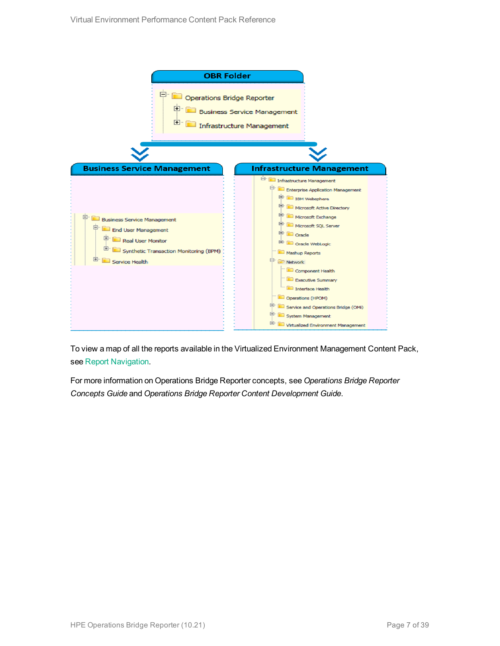

To view a map of all the reports available in the Virtualized Environment Management Content Pack, see Report [Navigation](#page-29-0).

For more information on Operations Bridge Reporter concepts, see *Operations Bridge Reporter Concepts Guide* and *Operations Bridge Reporter Content Development Guide*.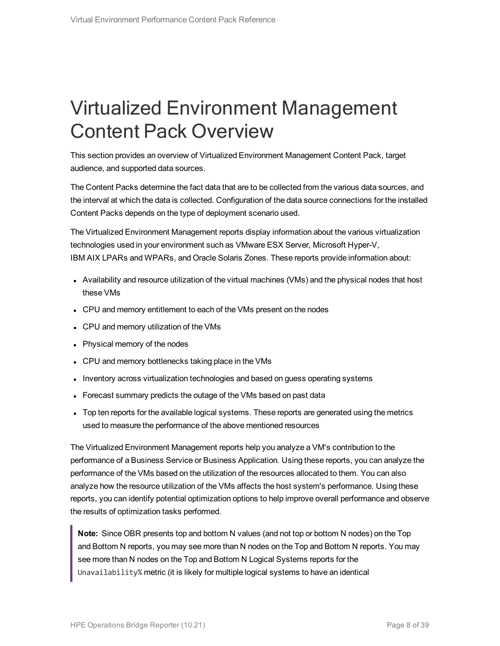## <span id="page-7-0"></span>Virtualized Environment Management Content Pack Overview

This section provides an overview of Virtualized Environment Management Content Pack, target audience, and supported data sources.

The Content Packs determine the fact data that are to be collected from the various data sources, and the interval at which the data is collected. Configuration of the data source connections for the installed Content Packs depends on the type of deployment scenario used.

The Virtualized Environment Management reports display information about the various virtualization technologies used in your environment such as VMware ESX Server, Microsoft Hyper-V, IBM AIX LPARs and WPARs, and Oracle Solaris Zones. These reports provide information about:

- Availability and resource utilization of the virtual machines (VMs) and the physical nodes that host these VMs
- CPU and memory entitlement to each of the VMs present on the nodes
- CPU and memory utilization of the VMs
- Physical memory of the nodes
- CPU and memory bottlenecks taking place in the VMs
- Inventory across virtualization technologies and based on guess operating systems
- Forecast summary predicts the outage of the VMs based on past data
- Top ten reports for the available logical systems. These reports are generated using the metrics used to measure the performance of the above mentioned resources

The Virtualized Environment Management reports help you analyze a VM's contribution to the performance of a Business Service or Business Application. Using these reports, you can analyze the performance of the VMs based on the utilization of the resources allocated to them. You can also analyze how the resource utilization of the VMs affects the host system's performance. Using these reports, you can identify potential optimization options to help improve overall performance and observe the results of optimization tasks performed.

**Note:** Since OBR presents top and bottom N values (and not top or bottom N nodes) on the Top and Bottom N reports, you may see more than N nodes on the Top and Bottom N reports. You may see more than N nodes on the Top and Bottom N Logical Systems reports for the Unavailability% metric (it is likely for multiple logical systems to have an identical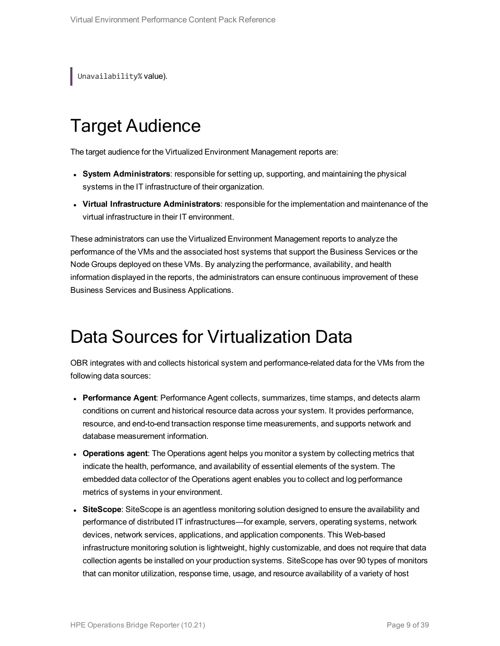<span id="page-8-0"></span>Unavailability% value).

## Target Audience

The target audience for the Virtualized Environment Management reports are:

- <sup>l</sup> **System Administrators**: responsible for setting up, supporting, and maintaining the physical systems in the IT infrastructure of their organization.
- <sup>l</sup> **Virtual Infrastructure Administrators**: responsible for the implementation and maintenance of the virtual infrastructure in their IT environment.

These administrators can use the Virtualized Environment Management reports to analyze the performance of the VMs and the associated host systems that support the Business Services or the Node Groups deployed on these VMs. By analyzing the performance, availability, and health information displayed in the reports, the administrators can ensure continuous improvement of these Business Services and Business Applications.

## <span id="page-8-1"></span>Data Sources for Virtualization Data

OBR integrates with and collects historical system and performance-related data for the VMs from the following data sources:

- **Performance Agent**: Performance Agent collects, summarizes, time stamps, and detects alarm conditions on current and historical resource data across your system. It provides performance, resource, and end-to-end transaction response time measurements, and supports network and database measurement information.
- **Operations agent**: The Operations agent helps you monitor a system by collecting metrics that indicate the health, performance, and availability of essential elements of the system. The embedded data collector of the Operations agent enables you to collect and log performance metrics of systems in your environment.
- **SiteScope**: SiteScope is an agentless monitoring solution designed to ensure the availability and performance of distributed IT infrastructures—for example, servers, operating systems, network devices, network services, applications, and application components. This Web-based infrastructure monitoring solution is lightweight, highly customizable, and does not require that data collection agents be installed on your production systems. SiteScope has over 90 types of monitors that can monitor utilization, response time, usage, and resource availability of a variety of host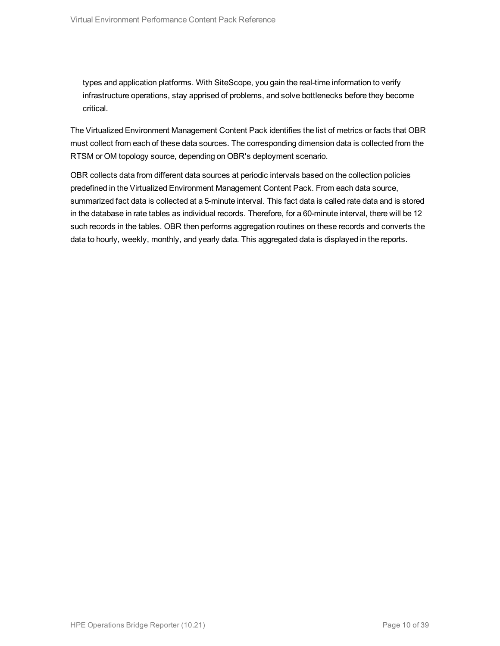types and application platforms. With SiteScope, you gain the real-time information to verify infrastructure operations, stay apprised of problems, and solve bottlenecks before they become critical.

The Virtualized Environment Management Content Pack identifies the list of metrics or facts that OBR must collect from each of these data sources. The corresponding dimension data is collected from the RTSM or OM topology source, depending on OBR's deployment scenario.

OBR collects data from different data sources at periodic intervals based on the collection policies predefined in the Virtualized Environment Management Content Pack. From each data source, summarized fact data is collected at a 5-minute interval. This fact data is called rate data and is stored in the database in rate tables as individual records. Therefore, for a 60-minute interval, there will be 12 such records in the tables. OBR then performs aggregation routines on these records and converts the data to hourly, weekly, monthly, and yearly data. This aggregated data is displayed in the reports.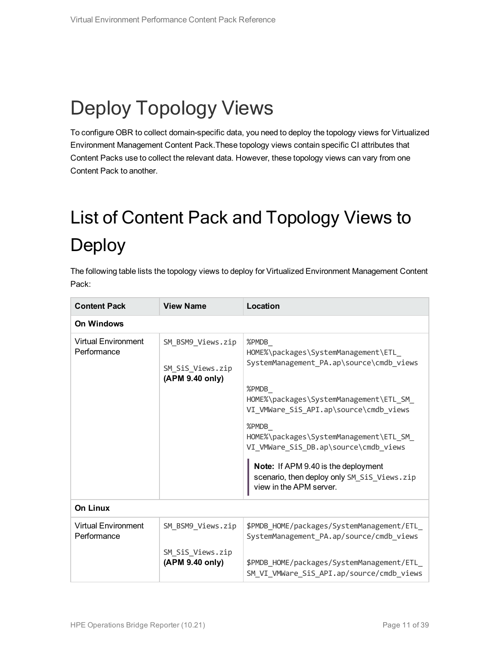# <span id="page-10-0"></span>Deploy Topology Views

<span id="page-10-1"></span>To configure OBR to collect domain-specific data, you need to deploy the topology views for Virtualized Environment Management Content Pack.These topology views contain specific CI attributes that Content Packs use to collect the relevant data. However, these topology views can vary from one Content Pack to another.

# <span id="page-10-2"></span>List of Content Pack and Topology Views to Deploy

The following table lists the topology views to deploy for Virtualized Environment Management Content Pack:

| <b>Content Pack</b>                       | <b>View Name</b>                                         | Location                                                                                                                                                                                                                                                                                                                                                                                             |  |  |  |  |  |  |  |
|-------------------------------------------|----------------------------------------------------------|------------------------------------------------------------------------------------------------------------------------------------------------------------------------------------------------------------------------------------------------------------------------------------------------------------------------------------------------------------------------------------------------------|--|--|--|--|--|--|--|
| <b>On Windows</b>                         |                                                          |                                                                                                                                                                                                                                                                                                                                                                                                      |  |  |  |  |  |  |  |
| <b>Virtual Environment</b><br>Performance | SM_BSM9_Views.zip<br>SM_SiS_Views.zip<br>(APM 9.40 only) | %PMDB<br>HOME%\packages\SystemManagement\ETL<br>SystemManagement_PA.ap\source\cmdb_views<br>%PMDB<br>HOME%\packages\SystemManagement\ETL_SM_<br>VI_VMWare_SiS_API.ap\source\cmdb_views<br>%PMDB<br>HOME%\packages\SystemManagement\ETL_SM_<br>VI_VMWare_SiS_DB.ap\source\cmdb_views<br>Note: If APM 9.40 is the deployment<br>scenario, then deploy only SM_SiS_Views.zip<br>view in the APM server. |  |  |  |  |  |  |  |
| <b>On Linux</b>                           |                                                          |                                                                                                                                                                                                                                                                                                                                                                                                      |  |  |  |  |  |  |  |
| <b>Virtual Environment</b><br>Performance | SM_BSM9_Views.zip                                        | \$PMDB_HOME/packages/SystemManagement/ETL_<br>SystemManagement_PA.ap/source/cmdb_views                                                                                                                                                                                                                                                                                                               |  |  |  |  |  |  |  |
|                                           | SM_SiS_Views.zip<br>(APM 9.40 only)                      | \$PMDB_HOME/packages/SystemManagement/ETL_<br>SM_VI_VMWare_SiS_API.ap/source/cmdb_views                                                                                                                                                                                                                                                                                                              |  |  |  |  |  |  |  |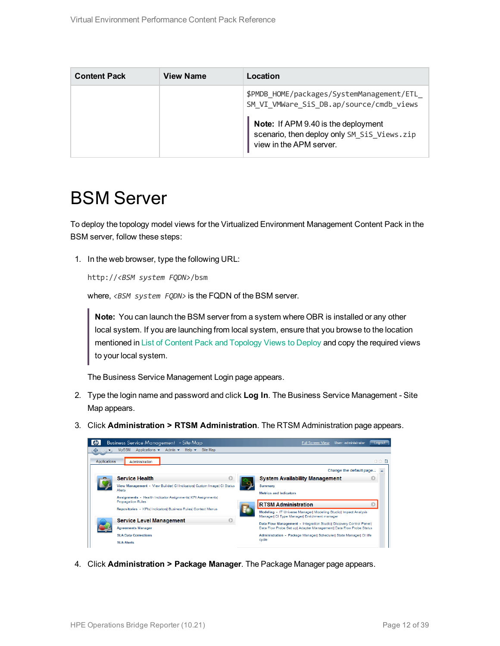| <b>Content Pack</b> | <b>View Name</b> | Location                                                                                                      |
|---------------------|------------------|---------------------------------------------------------------------------------------------------------------|
|                     |                  | \$PMDB_HOME/packages/SystemManagement/ETL<br>SM_VI_VMWare_SiS_DB.ap/source/cmdb_views                         |
|                     |                  | Note: If APM 9.40 is the deployment<br>scenario, then deploy only SM_SiS_Views.zip<br>view in the APM server. |

### <span id="page-11-0"></span>BSM Server

To deploy the topology model views for the Virtualized Environment Management Content Pack in the BSM server, follow these steps:

1. In the web browser, type the following URL:

```
http://<BSM system FQDN>/bsm
```
where, <BSM system FQDN> is the FQDN of the BSM server.

**Note:** You can launch the BSM server from a system where OBR is installed or any other local system. If you are launching from local system, ensure that you browse to the location mentioned in List of Content Pack and [Topology](#page-10-2) Views to Deploy and copy the required views to your local system.

The Business Service Management Login page appears.

- 2. Type the login name and password and click **Log In**. The Business Service Management Site Map appears.
- 3. Click **Administration > RTSM Administration**. The RTSM Administration page appears.



4. Click **Administration > Package Manager**. The Package Manager page appears.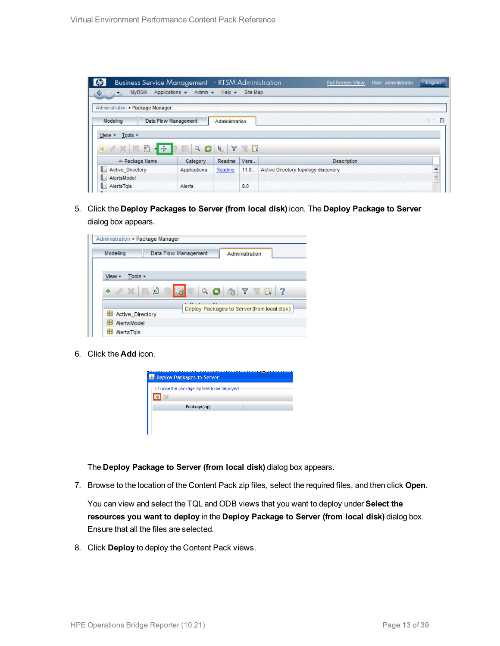| <b>Business Service Management</b> - RTSM Administration<br>$\bullet$                       |                     |                           |          | User: administrator<br>Full Screen View | Logout |
|---------------------------------------------------------------------------------------------|---------------------|---------------------------|----------|-----------------------------------------|--------|
| <b>MyBSM</b><br>Applications $\blacktriangledown$<br>♦<br>$\Leftrightarrow$<br>$\mathbb{R}$ | Admin $\star$       | Help $\blacktriangledown$ | Site Map |                                         |        |
|                                                                                             |                     |                           |          |                                         |        |
| Administration > Package Manager                                                            |                     |                           |          |                                         |        |
| Modeling<br>Data Flow Management                                                            |                     | Administration            |          |                                         | ◇◇■    |
|                                                                                             |                     |                           |          |                                         |        |
| View -<br>Tools -                                                                           |                     |                           |          |                                         |        |
| 尹<br>一卷<br>$*$ $\alpha$<br>國                                                                | $\alpha$<br>C<br>m. | Y<br>G                    | <b>x</b> |                                         |        |
|                                                                                             |                     |                           |          |                                         |        |
|                                                                                             |                     | Readme                    |          |                                         |        |
| ≐ Package Name                                                                              | Category            |                           | Vers     | <b>Description</b>                      |        |
| <b>Active Directory</b>                                                                     | Applications        | Readme                    | 11.0     | Active Directory topology discovery     |        |
| AlertsModel                                                                                 |                     |                           |          |                                         | ۰<br>E |

5. Click the **Deploy Packages to Server (from local disk)** icon. The **Deploy Package to Server** dialog box appears.

| Administration > Package Manager |                      |                                                                                                                                                |
|----------------------------------|----------------------|------------------------------------------------------------------------------------------------------------------------------------------------|
| Modeling                         | Data Flow Management | Administration                                                                                                                                 |
|                                  |                      |                                                                                                                                                |
| Tools $\sim$<br>View -           |                      |                                                                                                                                                |
| $\alpha \times \alpha$<br>÷      |                      | $Q \n  3 \n  4 \n  5 \n  6 \n  7 \n  8 \n  10 \n  11 \n  12 \n  13 \n  14 \n  15 \n  16 \n  17 \n  18 \n  19 \n  19 \n  19 \n  19 \n  19 \n  $ |
|                                  |                      | Deploy Packages to Server (from local disk)                                                                                                    |
| Active Directory                 |                      |                                                                                                                                                |
| <b>Alerts Model</b>              |                      |                                                                                                                                                |
| AlertsTals                       |                      |                                                                                                                                                |

6. Click the **Add** icon.



The **Deploy Package to Server (from local disk)** dialog box appears.

7. Browse to the location of the Content Pack zip files, select the required files, and then click **Open**.

You can view and select the TQL and ODB views that you want to deploy under **Select the resources you want to deploy** in the **Deploy Package to Server (from local disk)** dialog box. Ensure that all the files are selected.

8. Click **Deploy** to deploy the Content Pack views.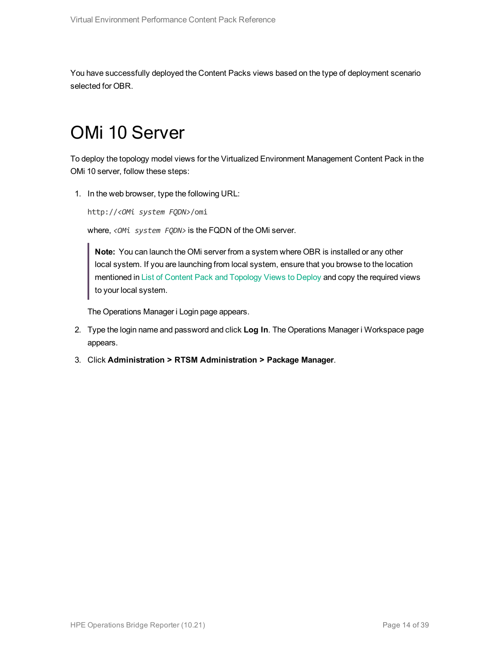<span id="page-13-0"></span>You have successfully deployed the Content Packs views based on the type of deployment scenario selected for OBR.

## OMi 10 Server

To deploy the topology model views for the Virtualized Environment Management Content Pack in the OMi 10 server, follow these steps:

1. In the web browser, type the following URL:

http://*<OMi system FQDN>*/omi

where, *<OMi system FQDN>* is the FQDN of the OMi server.

**Note:** You can launch the OMi server from a system where OBR is installed or any other local system. If you are launching from local system, ensure that you browse to the location mentioned in List of Content Pack and [Topology](#page-10-2) Views to Deploy and copy the required views to your local system.

The Operations Manager i Login page appears.

- 2. Type the login name and password and click **Log In**. The Operations Manager i Workspace page appears.
- 3. Click **Administration > RTSM Administration > Package Manager**.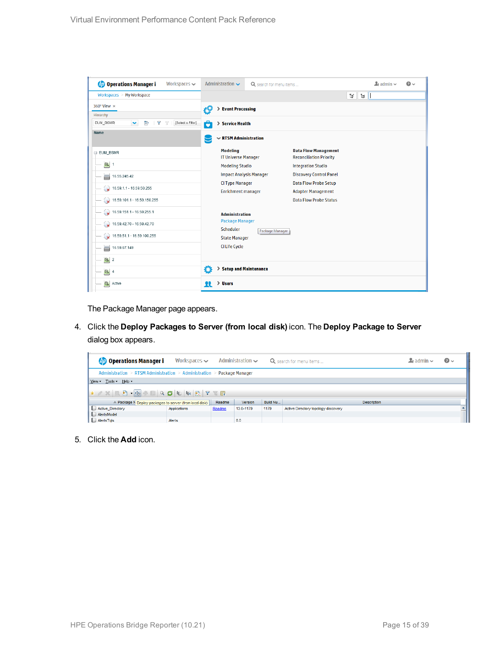| <b>Operations Manager i</b><br>Workspaces $\smile$         | Administration $\sim$                         | Q search for menu items        |                                                               |                    | $\mathbf{L}$ admin $\sim$ | $\Omega$ |
|------------------------------------------------------------|-----------------------------------------------|--------------------------------|---------------------------------------------------------------|--------------------|---------------------------|----------|
| Workspaces > My Workspace                                  |                                               |                                |                                                               | Ħ.<br>$\mathbb{H}$ |                           |          |
| 360° View x                                                | > Event Processing<br>ł۶                      |                                |                                                               |                    |                           |          |
| Hierarchy                                                  |                                               |                                |                                                               |                    |                           |          |
| v<br>[Select a Filter]<br>EUM_BSMR<br>È<br>Y<br>$\sqrt{ }$ | 6<br>> Service Health                         |                                |                                                               |                    |                           |          |
| Name                                                       | $\sim$ RTSM Administration                    |                                |                                                               |                    |                           |          |
| E EUM_BSMR                                                 | <b>Modeling</b><br><b>IT Universe Manager</b> |                                | <b>Data Flow Management</b><br><b>Reconciliation Priority</b> |                    |                           |          |
| $\boxed{0}$ 1                                              | <b>Modeling Studio</b>                        |                                | <b>Integration Studio</b>                                     |                    |                           |          |
| ᇦ<br>16.55.245.42                                          |                                               | <b>Impact Analysis Manager</b> | <b>Discovery Control Panel</b>                                |                    |                           |          |
| $\sqrt{16.59.1.1 - 16.59.50.255}$                          | <b>CI Type Manager</b>                        |                                | <b>Data Flow Probe Setup</b>                                  |                    |                           |          |
|                                                            | <b>Enrichment manager</b>                     |                                | <b>Adapter Management</b>                                     |                    |                           |          |
| $\bigcirc$ 16.59.101.1 - 16.59.150.255                     |                                               |                                | <b>Data Flow Probe Status</b>                                 |                    |                           |          |
| $\bigotimes$ 16.59.151.1 - 16.59.255.1                     | <b>Administration</b>                         |                                |                                                               |                    |                           |          |
| $\bigotimes$ 16.59.42.70 - 16.59.42.70                     | <b>Package Manager</b>                        |                                |                                                               |                    |                           |          |
|                                                            | Scheduler                                     | Package Manager                |                                                               |                    |                           |          |
| $\bigcirc$ 16.59.51.1 - 16.59.100.255                      | <b>State Manager</b>                          |                                |                                                               |                    |                           |          |
| 16.59.67.149<br>▄                                          | <b>CI Life Cycle</b>                          |                                |                                                               |                    |                           |          |
| $\left[ \bigcirc \right]$ 2                                |                                               |                                |                                                               |                    |                           |          |
| $\bigcirc$ 4                                               | Ö                                             | > Setup and Maintenance        |                                                               |                    |                           |          |
| $\sigma$<br>Active                                         | > Users<br>R                                  |                                |                                                               |                    |                           |          |

The Package Manager page appears.

4. Click the **Deploy Packages to Server (from local disk)** icon. The **Deploy Package to Server** dialog box appears.

| <b><i>OD</i></b> Operations Manager i                                   | Workspaces $\sim$ |        | Administration $\sim$ |          | Q search for menu items             | $\blacktriangle$ r admin $\blacktriangleright$ | $\bullet$ |
|-------------------------------------------------------------------------|-------------------|--------|-----------------------|----------|-------------------------------------|------------------------------------------------|-----------|
| Administration > RTSM Administration > Administration > Package Manager |                   |        |                       |          |                                     |                                                |           |
| View $\sqrt{ }$ Tools $\sqrt{ }$ Help $\sqrt{ }$                        |                   |        |                       |          |                                     |                                                |           |
|                                                                         |                   |        |                       |          |                                     |                                                |           |
| ≐ Package N Deploy packages to server (from local disk)                 |                   | Readme | Version               | Build Nu | <b>Description</b>                  |                                                |           |
| Active_Directory                                                        | Applications      | Readme | 13.0-1179             | 1179     | Active Directory topology discovery |                                                |           |
| AlertsModel                                                             |                   |        |                       |          |                                     |                                                |           |
| AlertsTqls                                                              | Alerts            |        | 8.0                   |          |                                     |                                                |           |

5. Click the **Add** icon.

 $\mathcal{L}$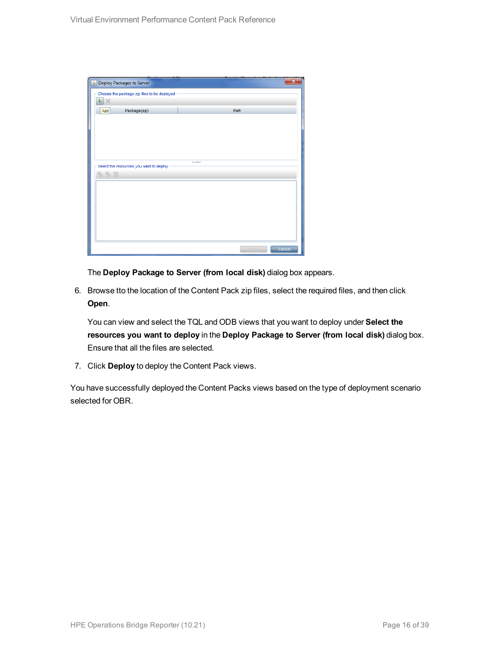| Deploy Packages to Server                   |        | ×      |
|---------------------------------------------|--------|--------|
| Choose the package zip files to be deployed |        |        |
| 中义                                          |        |        |
| Package(zip)<br>Add                         | Path   |        |
|                                             |        |        |
|                                             |        |        |
|                                             |        |        |
|                                             |        |        |
|                                             |        |        |
| Select the resources you want to deploy     |        |        |
| 名七脑                                         |        |        |
|                                             |        |        |
|                                             |        |        |
|                                             |        |        |
|                                             |        |        |
|                                             |        |        |
|                                             |        |        |
|                                             |        |        |
|                                             | Deploy | Cancel |

The **Deploy Package to Server (from local disk)** dialog box appears.

6. Browse tto the location of the Content Pack zip files, select the required files, and then click **Open**.

You can view and select the TQL and ODB views that you want to deploy under **Select the resources you want to deploy** in the **Deploy Package to Server (from local disk)** dialog box. Ensure that all the files are selected.

7. Click **Deploy** to deploy the Content Pack views.

You have successfully deployed the Content Packs views based on the type of deployment scenario selected for OBR.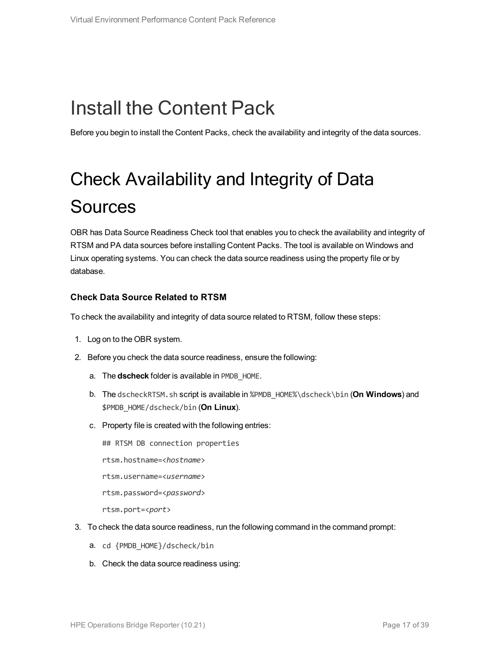# <span id="page-16-0"></span>Install the Content Pack

<span id="page-16-1"></span>Before you begin to install the Content Packs, check the availability and integrity of the data sources.

# Check Availability and Integrity of Data **Sources**

OBR has Data Source Readiness Check tool that enables you to check the availability and integrity of RTSM and PA data sources before installing Content Packs. The tool is available on Windows and Linux operating systems. You can check the data source readiness using the property file or by database.

### **Check Data Source Related to RTSM**

To check the availability and integrity of data source related to RTSM, follow these steps:

- 1. Log on to the OBR system.
- 2. Before you check the data source readiness, ensure the following:
	- a. The **dscheck** folder is available in PMDB\_HOME.
	- b. The dscheckRTSM.sh script is available in %PMDB\_HOME%\dscheck\bin (**On Windows**) and \$PMDB\_HOME/dscheck/bin (**On Linux**).
	- c. Property file is created with the following entries:

## RTSM DB connection properties rtsm.hostname=<*hostname*> rtsm.username=<*username*> rtsm.password=<*password*> rtsm.port=<*port*>

- 3. To check the data source readiness, run the following command in the command prompt:
	- a. cd {PMDB HOME}/dscheck/bin
	- b. Check the data source readiness using: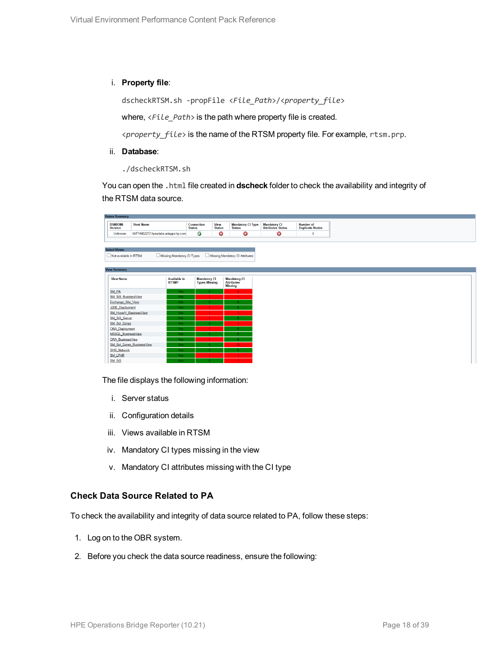#### i. **Property file**:

dscheckRTSM.sh -propFile <*File\_Path*>/<*property\_file*>

where,  $\langle$ File Path> is the path where property file is created.

<*property\_file*> is the name of the RTSM property file. For example, rtsm.prp.

#### ii. **Database**:

./dscheckRTSM.sh

You can open the .html file created in **dscheck** folder to check the availability and integrity of the RTSM data source.

| <b>Status Summary</b>            |                                   |                            |                                    |                              |                                              |                                          |                                            |
|----------------------------------|-----------------------------------|----------------------------|------------------------------------|------------------------------|----------------------------------------------|------------------------------------------|--------------------------------------------|
| <b>BSM/OMi</b><br><b>Version</b> | <b>Host Name</b>                  |                            | <b>Connection</b><br><b>Status</b> | <b>View</b><br><b>Status</b> | <b>Mandatory CI Type</b><br><b>Status</b>    | <b>Mandatory CI</b><br>Attributes Status | <b>Number of</b><br><b>Duplicate Nodes</b> |
| Unknown                          | IWFVM02277.hpswlabs.adapps.hp.com |                            | Ø                                  | ◶                            | 0                                            | Ø                                        | $\bf{0}$                                   |
|                                  |                                   |                            |                                    |                              |                                              |                                          |                                            |
| <b>Select Views:</b>             |                                   |                            |                                    |                              |                                              |                                          |                                            |
|                                  |                                   |                            |                                    |                              |                                              |                                          |                                            |
| Not available in RTSM            |                                   | Missing Mandatory CI Types |                                    |                              | Missing Mandatory CI Attributes              |                                          |                                            |
|                                  |                                   |                            |                                    |                              |                                              |                                          |                                            |
| <b>View Summary</b>              |                                   |                            |                                    |                              |                                              |                                          |                                            |
| <b>View Name</b>                 |                                   | <b>Available in</b>        | <b>Mandatory CI</b>                |                              | <b>Mandatory CI</b>                          |                                          |                                            |
|                                  |                                   | RTSM?                      | <b>Types Missing</b>               |                              | <b>Attributes</b>                            |                                          |                                            |
|                                  |                                   |                            |                                    |                              | <b>Missing</b>                               |                                          |                                            |
| SM_PA<br>SM SiS BusinessView     |                                   | Yes<br>Yes                 |                                    |                              | $\blacktriangleleft$<br>$\blacktriangleleft$ |                                          |                                            |
| Exchange Site View               |                                   | Yes                        |                                    |                              | $\mathbf{a}$                                 |                                          |                                            |
| J2EE Deployment                  |                                   | Yes                        |                                    |                              | $\mathbf{0}$                                 |                                          |                                            |
| SM_HyperV_BusinessView           |                                   | Yes                        |                                    |                              | $\mathbf{R}$                                 |                                          |                                            |
| SM_SiS_Server                    |                                   | Yes                        |                                    |                              | $\mathbf{0}$                                 |                                          |                                            |
| SM Sol Zones                     |                                   | Yes                        |                                    |                              |                                              |                                          |                                            |
| <b>ORA Deployment</b>            |                                   | Yes                        |                                    |                              |                                              |                                          |                                            |
| MSSQL_BusinessView               |                                   | Yes                        |                                    |                              | $\mathbf{0}$                                 |                                          |                                            |
| <b>ORA BusinessView</b>          |                                   | Yes                        |                                    |                              | $\mathbf{0}$                                 |                                          |                                            |
|                                  | SM Sol Zones BusinessView         | <b>Yes</b>                 |                                    |                              | 12 <sup>°</sup>                              |                                          |                                            |
| <b>SHR_Network</b>               |                                   | Yes                        |                                    |                              | $\mathbf{0}$                                 |                                          |                                            |
| <b>SM LPAR</b>                   |                                   | Yes                        |                                    |                              | $\blacktriangleleft$                         |                                          |                                            |
| SM SiS                           |                                   | Yes                        |                                    |                              |                                              |                                          |                                            |

The file displays the following information:

- i. Server status
- ii. Configuration details
- iii. Views available in RTSM
- iv. Mandatory CI types missing in the view
- v. Mandatory CI attributes missing with the CI type

#### **Check Data Source Related to PA**

To check the availability and integrity of data source related to PA, follow these steps:

- 1. Log on to the OBR system.
- 2. Before you check the data source readiness, ensure the following: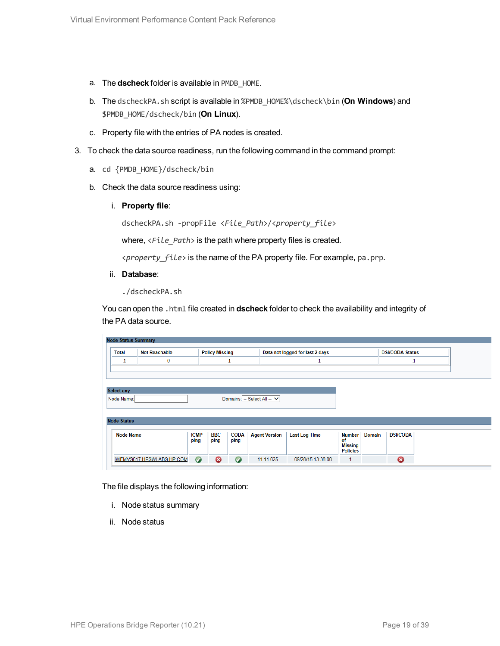- a. The **dscheck** folder is available in PMDB\_HOME.
- b. The dscheckPA.sh script is available in %PMDB\_HOME%\dscheck\bin (**On Windows**) and \$PMDB\_HOME/dscheck/bin (**On Linux**).
- c. Property file with the entries of PA nodes is created.
- 3. To check the data source readiness, run the following command in the command prompt:
	- a. cd {PMDB\_HOME}/dscheck/bin
	- b. Check the data source readiness using:
		- i. **Property file**:

dscheckPA.sh -propFile <*File\_Path*>/<*property\_file*>

where,  $\langle$ File Path> is the path where property files is created.

<*property\_file*> is the name of the PA property file. For example, pa.prp.

ii. **Database**:

./dscheckPA.sh

You can open the .html file created in **dscheck** folder to check the availability and integrity of the PA data source.

| <b>Node Status Summary</b> |                    |                      |                                           |                       |                             |                                 |                                   |                        |                 |  |
|----------------------------|--------------------|----------------------|-------------------------------------------|-----------------------|-----------------------------|---------------------------------|-----------------------------------|------------------------|-----------------|--|
|                            | <b>Total</b>       | <b>Not Reachable</b> |                                           | <b>Policy Missing</b> |                             | Data not logged for last 2 days |                                   | <b>DSi/CODA Status</b> |                 |  |
|                            | $\mathbf{1}$       | 0                    |                                           | ┹                     |                             |                                 |                                   |                        | ┹               |  |
|                            |                    |                      |                                           |                       |                             |                                 |                                   |                        |                 |  |
|                            |                    |                      |                                           |                       |                             |                                 |                                   |                        |                 |  |
|                            | <b>Select any</b>  |                      |                                           |                       |                             |                                 |                                   |                        |                 |  |
|                            | Node Name:         |                      |                                           |                       | Domains: -- Select All -- V |                                 |                                   |                        |                 |  |
|                            |                    |                      |                                           |                       |                             |                                 |                                   |                        |                 |  |
|                            | <b>Node Status</b> |                      |                                           |                       |                             |                                 |                                   |                        |                 |  |
|                            |                    |                      |                                           |                       |                             |                                 |                                   |                        |                 |  |
|                            | <b>Node Name</b>   |                      | <b>ICMP</b><br><b>BBC</b><br>ping<br>ping | <b>CODA</b><br>ping   | <b>Agent Version</b>        | <b>Last Log Time</b>            | <b>Number</b><br>of               | <b>Domain</b>          | <b>DSi/CODA</b> |  |
|                            |                    |                      |                                           |                       |                             |                                 | <b>Missing</b><br><b>Policies</b> |                        |                 |  |
|                            |                    |                      |                                           |                       |                             |                                 |                                   |                        |                 |  |

The file displays the following information:

- i. Node status summary
- ii. Node status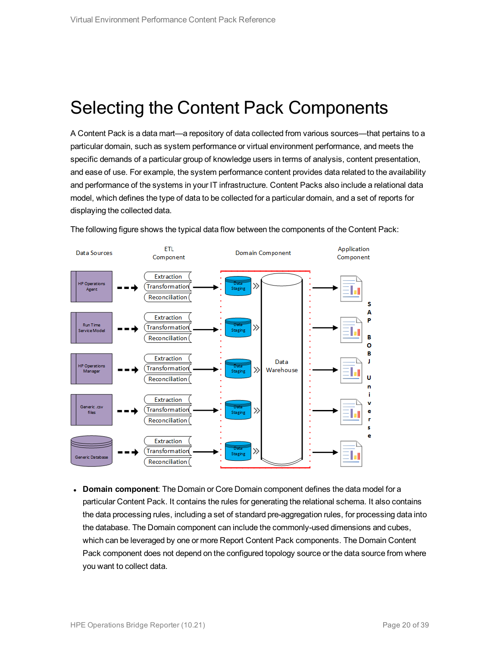### <span id="page-19-0"></span>Selecting the Content Pack Components

A Content Pack is a data mart—a repository of data collected from various sources—that pertains to a particular domain, such as system performance or virtual environment performance, and meets the specific demands of a particular group of knowledge users in terms of analysis, content presentation, and ease of use. For example, the system performance content provides data related to the availability and performance of the systems in your IT infrastructure. Content Packs also include a relational data model, which defines the type of data to be collected for a particular domain, and a set of reports for displaying the collected data.



The following figure shows the typical data flow between the components of the Content Pack:

**Domain component**: The Domain or Core Domain component defines the data model for a particular Content Pack. It contains the rules for generating the relational schema. It also contains the data processing rules, including a set of standard pre-aggregation rules, for processing data into the database. The Domain component can include the commonly-used dimensions and cubes, which can be leveraged by one or more Report Content Pack components. The Domain Content Pack component does not depend on the configured topology source or the data source from where you want to collect data.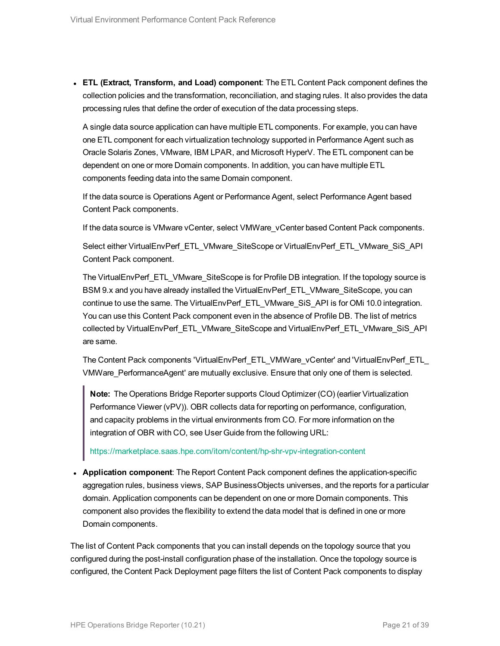<sup>l</sup> **ETL (Extract, Transform, and Load) component**: The ETL Content Pack component defines the collection policies and the transformation, reconciliation, and staging rules. It also provides the data processing rules that define the order of execution of the data processing steps.

A single data source application can have multiple ETL components. For example, you can have one ETL component for each virtualization technology supported in Performance Agent such as Oracle Solaris Zones, VMware, IBM LPAR, and Microsoft HyperV. The ETL component can be dependent on one or more Domain components. In addition, you can have multiple ETL components feeding data into the same Domain component.

If the data source is Operations Agent or Performance Agent, select Performance Agent based Content Pack components.

If the data source is VMware vCenter, select VMWare\_vCenter based Content Pack components.

Select either VirtualEnvPerf\_ETL\_VMware\_SiteScope or VirtualEnvPerf\_ETL\_VMware\_SiS\_API Content Pack component.

The VirtualEnvPerf\_ETL\_VMware\_SiteScope is for Profile DB integration. If the topology source is BSM 9.x and you have already installed the VirtualEnvPerf\_ETL\_VMware\_SiteScope, you can continue to use the same. The VirtualEnvPerf\_ETL\_VMware\_SiS\_API is for OMi 10.0 integration. You can use this Content Pack component even in the absence of Profile DB. The list of metrics collected by VirtualEnvPerf\_ETL\_VMware\_SiteScope and VirtualEnvPerf\_ETL\_VMware\_SiS\_API are same.

The Content Pack components 'VirtualEnvPerf\_ETL\_VMWare\_vCenter' and 'VirtualEnvPerf\_ETL\_ VMWare\_PerformanceAgent' are mutually exclusive. Ensure that only one of them is selected.

**Note:** The Operations Bridge Reporter supports Cloud Optimizer (CO) (earlier Virtualization Performance Viewer (vPV)). OBR collects data for reporting on performance, configuration, and capacity problems in the virtual environments from CO. For more information on the integration of OBR with CO, see User Guide from the following URL:

<https://marketplace.saas.hpe.com/itom/content/hp-shr-vpv-integration-content>

**• Application component:** The Report Content Pack component defines the application-specific aggregation rules, business views, SAP BusinessObjects universes, and the reports for a particular domain. Application components can be dependent on one or more Domain components. This component also provides the flexibility to extend the data model that is defined in one or more Domain components.

The list of Content Pack components that you can install depends on the topology source that you configured during the post-install configuration phase of the installation. Once the topology source is configured, the Content Pack Deployment page filters the list of Content Pack components to display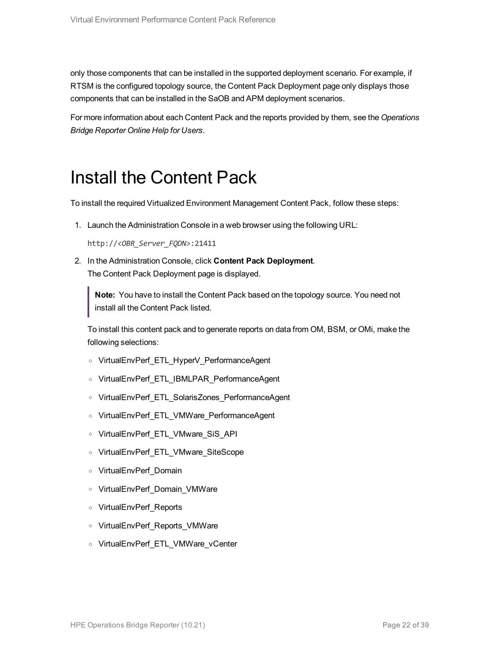only those components that can be installed in the supported deployment scenario. For example, if RTSM is the configured topology source, the Content Pack Deployment page only displays those components that can be installed in the SaOB and APM deployment scenarios.

<span id="page-21-0"></span>For more information about each Content Pack and the reports provided by them, see the *Operations Bridge Reporter Online Help for Users*.

### Install the Content Pack

To install the required Virtualized Environment Management Content Pack, follow these steps:

1. Launch the Administration Console in a web browser using the following URL:

http://*<OBR\_Server\_FQDN>*:21411

2. In the Administration Console, click **Content Pack Deployment**. The Content Pack Deployment page is displayed.

**Note:** You have to install the Content Pack based on the topology source. You need not install all the Content Pack listed.

To install this content pack and to generate reports on data from OM, BSM, or OMi, make the following selections:

- <sup>o</sup> VirtualEnvPerf\_ETL\_HyperV\_PerformanceAgent
- <sup>o</sup> VirtualEnvPerf\_ETL\_IBMLPAR\_PerformanceAgent
- <sup>o</sup> VirtualEnvPerf\_ETL\_SolarisZones\_PerformanceAgent
- <sup>o</sup> VirtualEnvPerf\_ETL\_VMWare\_PerformanceAgent
- <sup>o</sup> VirtualEnvPerf\_ETL\_VMware\_SiS\_API
- <sup>o</sup> VirtualEnvPerf\_ETL\_VMware\_SiteScope
- <sup>o</sup> VirtualEnvPerf\_Domain
- <sup>o</sup> VirtualEnvPerf\_Domain\_VMWare
- <sup>o</sup> VirtualEnvPerf\_Reports
- <sup>o</sup> VirtualEnvPerf\_Reports\_VMWare
- <sup>o</sup> VirtualEnvPerf\_ETL\_VMWare\_vCenter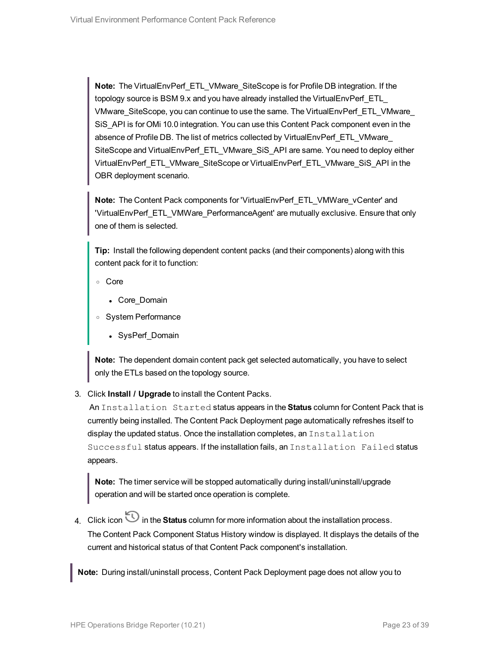**Note:** The VirtualEnvPerf\_ETL\_VMware\_SiteScope is for Profile DB integration. If the topology source is BSM 9.x and you have already installed the VirtualEnvPerf\_ETL\_ VMware\_SiteScope, you can continue to use the same. The VirtualEnvPerf\_ETL\_VMware\_ SiS\_API is for OMi 10.0 integration. You can use this Content Pack component even in the absence of Profile DB. The list of metrics collected by VirtualEnvPerf\_ETL\_VMware\_ SiteScope and VirtualEnvPerf\_ETL\_VMware\_SiS\_API are same. You need to deploy either VirtualEnvPerf\_ETL\_VMware\_SiteScope or VirtualEnvPerf\_ETL\_VMware\_SiS\_API in the OBR deployment scenario.

**Note:** The Content Pack components for 'VirtualEnvPerf\_ETL\_VMWare\_vCenter' and 'VirtualEnvPerf\_ETL\_VMWare\_PerformanceAgent' are mutually exclusive. Ensure that only one of them is selected.

**Tip:** Install the following dependent content packs (and their components) along with this content pack for it to function:

- <sup>o</sup> Core
	- Core\_Domain
- <sup>o</sup> System Performance
	- SysPerf Domain

**Note:** The dependent domain content pack get selected automatically, you have to select only the ETLs based on the topology source.

3. Click **Install / Upgrade** to install the Content Packs.

An Installation Started status appears in the **Status** column for Content Pack that is currently being installed. The Content Pack Deployment page automatically refreshes itself to display the updated status. Once the installation completes, an Installation Successful status appears. If the installation fails, an Installation Failed status appears.

**Note:** The timer service will be stopped automatically during install/uninstall/upgrade operation and will be started once operation is complete.

4. Click icon  $\bigcirc$  in the **Status** column for more information about the installation process. The Content Pack Component Status History window is displayed. It displays the details of the current and historical status of that Content Pack component's installation.

**Note:** During install/uninstall process, Content Pack Deployment page does not allow you to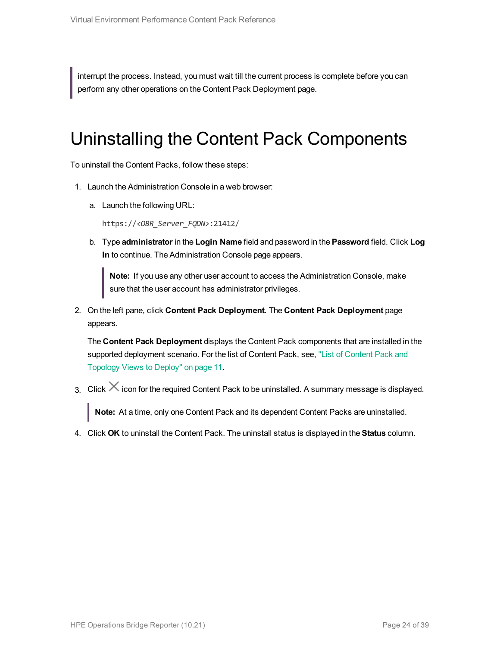<span id="page-23-0"></span>interrupt the process. Instead, you must wait till the current process is complete before you can perform any other operations on the Content Pack Deployment page.

### Uninstalling the Content Pack Components

To uninstall the Content Packs, follow these steps:

- 1. Launch the Administration Console in a web browser:
	- a. Launch the following URL:

https://*<OBR\_Server\_FQDN>*:21412/

b. Type **administrator** in the **Login Name** field and password in the **Password** field. Click **Log In** to continue. The Administration Console page appears.

**Note:** If you use any other user account to access the Administration Console, make sure that the user account has administrator privileges.

2. On the left pane, click **Content Pack Deployment**. The **Content Pack Deployment** page appears.

The **Content Pack Deployment** displays the Content Pack components that are installed in the supported deployment scenario. For the list of Content Pack, see, "List of [Content](#page-10-1) Pack and [Topology](#page-10-1) Views to Deploy" on page 11.

3. Click  $\times$  icon for the required Content Pack to be uninstalled. A summary message is displayed.

**Note:** At a time, only one Content Pack and its dependent Content Packs are uninstalled.

4. Click **OK** to uninstall the Content Pack. The uninstall status is displayed in the **Status** column.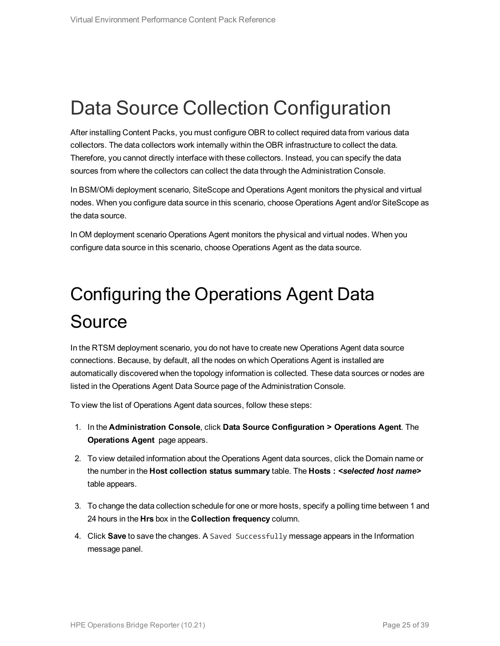## <span id="page-24-0"></span>Data Source Collection Configuration

After installing Content Packs, you must configure OBR to collect required data from various data collectors. The data collectors work internally within the OBR infrastructure to collect the data. Therefore, you cannot directly interface with these collectors. Instead, you can specify the data sources from where the collectors can collect the data through the Administration Console.

In BSM/OMi deployment scenario, SiteScope and Operations Agent monitors the physical and virtual nodes. When you configure data source in this scenario, choose Operations Agent and/or SiteScope as the data source.

<span id="page-24-1"></span>In OM deployment scenario Operations Agent monitors the physical and virtual nodes. When you configure data source in this scenario, choose Operations Agent as the data source.

# Configuring the Operations Agent Data **Source**

In the RTSM deployment scenario, you do not have to create new Operations Agent data source connections. Because, by default, all the nodes on which Operations Agent is installed are automatically discovered when the topology information is collected. These data sources or nodes are listed in the Operations Agent Data Source page of the Administration Console.

To view the list of Operations Agent data sources, follow these steps:

- 1. In the **Administration Console**, click **Data Source Configuration > Operations Agent**. The **Operations Agent** page appears.
- 2. To view detailed information about the Operations Agent data sources, click the Domain name or the number in the **Host collection status summary** table. The **Hosts :** *<selected host name>* table appears.
- 3. To change the data collection schedule for one or more hosts, specify a polling time between 1 and 24 hours in the **Hrs** box in the **Collection frequency** column.
- 4. Click **Save** to save the changes. A Saved Successfully message appears in the Information message panel.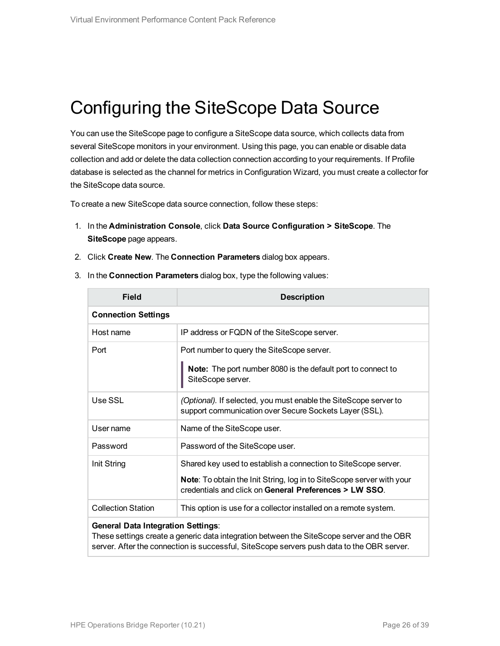## <span id="page-25-0"></span>Configuring the SiteScope Data Source

You can use the SiteScope page to configure a SiteScope data source, which collects data from several SiteScope monitors in your environment. Using this page, you can enable or disable data collection and add or delete the data collection connection according to your requirements. If Profile database is selected as the channel for metrics in Configuration Wizard, you must create a collector for the SiteScope data source.

To create a new SiteScope data source connection, follow these steps:

- 1. In the **Administration Console**, click **Data Source Configuration > SiteScope**. The **SiteScope** page appears.
- 2. Click **Create New**. The **Connection Parameters** dialog box appears.

| <b>Field</b>               | <b>Description</b>                                                                                                                                                                                       |
|----------------------------|----------------------------------------------------------------------------------------------------------------------------------------------------------------------------------------------------------|
| <b>Connection Settings</b> |                                                                                                                                                                                                          |
| Host name                  | IP address or FQDN of the SiteScope server.                                                                                                                                                              |
| Port                       | Port number to query the SiteScope server.<br><b>Note:</b> The port number 8080 is the default port to connect to<br>SiteScope server.                                                                   |
| Use SSL                    | (Optional). If selected, you must enable the SiteScope server to<br>support communication over Secure Sockets Layer (SSL).                                                                               |
| User name                  | Name of the SiteScope user.                                                                                                                                                                              |
| Password                   | Password of the SiteScope user.                                                                                                                                                                          |
| Init String                | Shared key used to establish a connection to SiteScope server.<br><b>Note:</b> To obtain the Init String, log in to SiteScope server with your<br>credentials and click on General Preferences > LW SSO. |
| <b>Collection Station</b>  | This option is use for a collector installed on a remote system.                                                                                                                                         |
|                            |                                                                                                                                                                                                          |

3. In the **Connection Parameters** dialog box, type the following values:

#### **General Data Integration Settings**:

These settings create a generic data integration between the SiteScope server and the OBR server. After the connection is successful, SiteScope servers push data to the OBR server.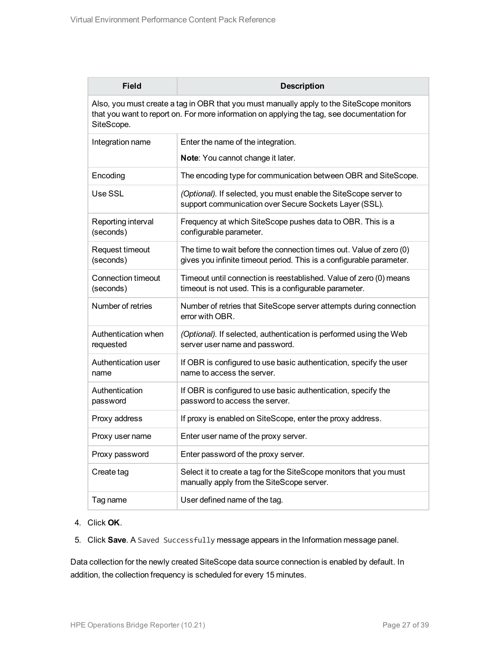| <b>Field</b>                     | <b>Description</b>                                                                                                                                                                       |
|----------------------------------|------------------------------------------------------------------------------------------------------------------------------------------------------------------------------------------|
| SiteScope.                       | Also, you must create a tag in OBR that you must manually apply to the SiteScope monitors<br>that you want to report on. For more information on applying the tag, see documentation for |
| Integration name                 | Enter the name of the integration.                                                                                                                                                       |
|                                  | Note: You cannot change it later.                                                                                                                                                        |
| Encoding                         | The encoding type for communication between OBR and SiteScope.                                                                                                                           |
| Use SSL                          | (Optional). If selected, you must enable the SiteScope server to<br>support communication over Secure Sockets Layer (SSL).                                                               |
| Reporting interval<br>(seconds)  | Frequency at which SiteScope pushes data to OBR. This is a<br>configurable parameter.                                                                                                    |
| Request timeout<br>(seconds)     | The time to wait before the connection times out. Value of zero (0)<br>gives you infinite timeout period. This is a configurable parameter.                                              |
| Connection timeout<br>(seconds)  | Timeout until connection is reestablished. Value of zero (0) means<br>timeout is not used. This is a configurable parameter.                                                             |
| Number of retries                | Number of retries that SiteScope server attempts during connection<br>error with OBR.                                                                                                    |
| Authentication when<br>requested | (Optional). If selected, authentication is performed using the Web<br>server user name and password.                                                                                     |
| Authentication user<br>name      | If OBR is configured to use basic authentication, specify the user<br>name to access the server.                                                                                         |
| Authentication<br>password       | If OBR is configured to use basic authentication, specify the<br>password to access the server.                                                                                          |
| Proxy address                    | If proxy is enabled on SiteScope, enter the proxy address.                                                                                                                               |
| Proxy user name                  | Enter user name of the proxy server.                                                                                                                                                     |
| Proxy password                   | Enter password of the proxy server.                                                                                                                                                      |
| Create tag                       | Select it to create a tag for the SiteScope monitors that you must<br>manually apply from the SiteScope server.                                                                          |
| Tag name                         | User defined name of the tag.                                                                                                                                                            |

#### 4. Click **OK**.

5. Click **Save**. A Saved Successfully message appears in the Information message panel.

Data collection for the newly created SiteScope data source connection is enabled by default. In addition, the collection frequency is scheduled for every 15 minutes.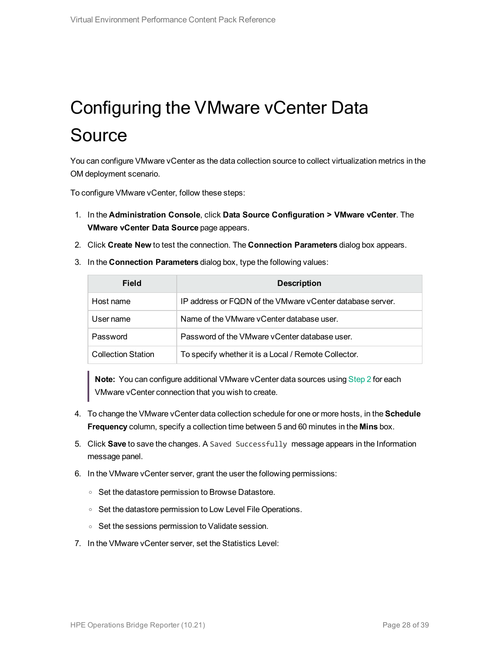# <span id="page-27-0"></span>Configuring the VMware vCenter Data Source

You can configure VMware vCenter as the data collection source to collect virtualization metrics in the OM deployment scenario.

To configure VMware vCenter, follow these steps:

- 1. In the **Administration Console**, click **Data Source Configuration > VMware vCenter**. The **VMware vCenter Data Source** page appears.
- <span id="page-27-1"></span>2. Click **Create New** to test the connection. The **Connection Parameters** dialog box appears.
- 3. In the **Connection Parameters** dialog box, type the following values:

| Field                     | <b>Description</b>                                        |
|---------------------------|-----------------------------------------------------------|
| Host name                 | IP address or FQDN of the VMware vCenter database server. |
| User name                 | Name of the VMware vCenter database user.                 |
| Password                  | Password of the VMware vCenter database user.             |
| <b>Collection Station</b> | To specify whether it is a Local / Remote Collector.      |

**Note:** You can configure additional VMware vCenter data sources using [Step](#page-27-1) 2 for each VMware vCenter connection that you wish to create.

- 4. To change the VMware vCenter data collection schedule for one or more hosts, in the **Schedule Frequency** column, specify a collection time between 5 and 60 minutes in the **Mins** box.
- 5. Click **Save** to save the changes. A Saved Successfully message appears in the Information message panel.
- 6. In the VMware vCenter server, grant the user the following permissions:
	- <sup>o</sup> Set the datastore permission to Browse Datastore.
	- <sup>o</sup> Set the datastore permission to Low Level File Operations.
	- <sup>o</sup> Set the sessions permission to Validate session.
- 7. In the VMware vCenter server, set the Statistics Level: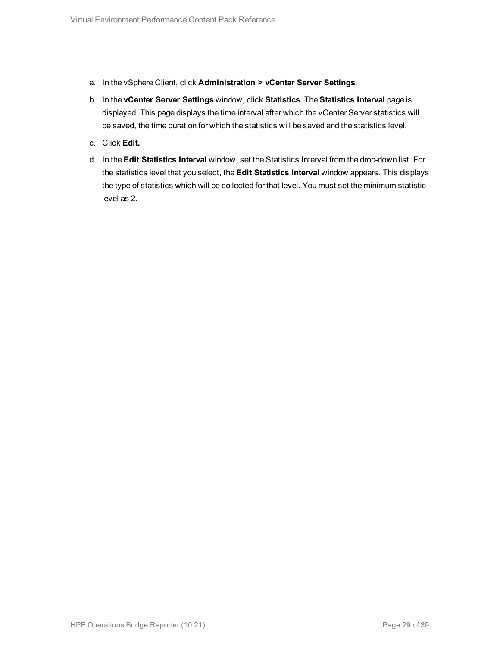- a. In the vSphere Client, click **Administration > vCenter Server Settings**.
- b. In the **vCenter Server Settings** window, click **Statistics**. The **Statistics Interval** page is displayed. This page displays the time interval after which the vCenter Server statistics will be saved, the time duration for which the statistics will be saved and the statistics level.
- c. Click **Edit.**
- d. In the **Edit Statistics Interval** window, set the Statistics Interval from the drop-down list. For the statistics level that you select, the **Edit Statistics Interval** window appears. This displays the type of statistics which will be collected for that level. You must set the minimum statistic level as 2.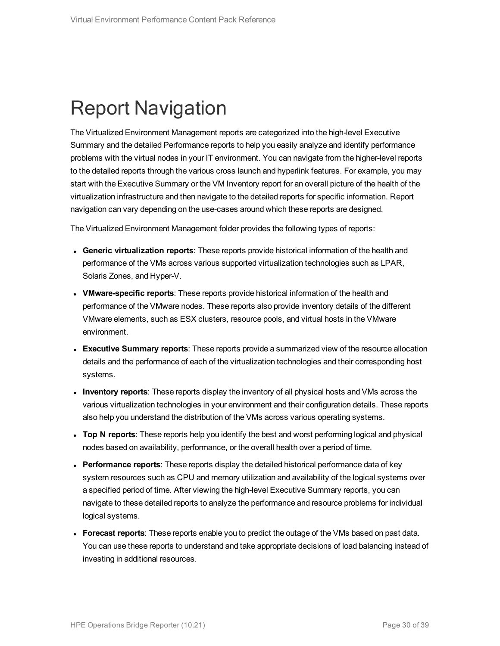## <span id="page-29-0"></span>Report Navigation

The Virtualized Environment Management reports are categorized into the high-level Executive Summary and the detailed Performance reports to help you easily analyze and identify performance problems with the virtual nodes in your IT environment. You can navigate from the higher-level reports to the detailed reports through the various cross launch and hyperlink features. For example, you may start with the Executive Summary or the VM Inventory report for an overall picture of the health of the virtualization infrastructure and then navigate to the detailed reports for specific information. Report navigation can vary depending on the use-cases around which these reports are designed.

The Virtualized Environment Management folder provides the following types of reports:

- <sup>l</sup> **Generic virtualization reports**: These reports provide historical information of the health and performance of the VMs across various supported virtualization technologies such as LPAR, Solaris Zones, and Hyper-V.
- <sup>l</sup> **VMware-specific reports**: These reports provide historical information of the health and performance of the VMware nodes. These reports also provide inventory details of the different VMware elements, such as ESX clusters, resource pools, and virtual hosts in the VMware environment.
- **Executive Summary reports**: These reports provide a summarized view of the resource allocation details and the performance of each of the virtualization technologies and their corresponding host systems.
- **Inventory reports**: These reports display the inventory of all physical hosts and VMs across the various virtualization technologies in your environment and their configuration details. These reports also help you understand the distribution of the VMs across various operating systems.
- <sup>l</sup> **Top N reports**: These reports help you identify the best and worst performing logical and physical nodes based on availability, performance, or the overall health over a period of time.
- **Performance reports**: These reports display the detailed historical performance data of key system resources such as CPU and memory utilization and availability of the logical systems over a specified period of time. After viewing the high-level Executive Summary reports, you can navigate to these detailed reports to analyze the performance and resource problems for individual logical systems.
- <sup>l</sup> **Forecast reports**: These reports enable you to predict the outage of the VMs based on past data. You can use these reports to understand and take appropriate decisions of load balancing instead of investing in additional resources.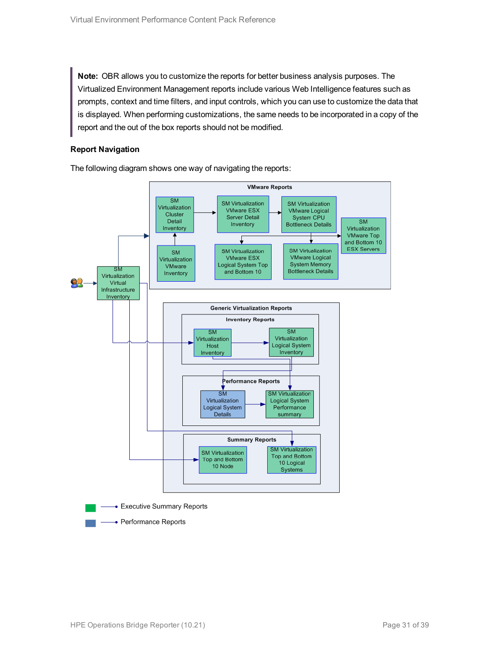**Note:** OBR allows you to customize the reports for better business analysis purposes. The Virtualized Environment Management reports include various Web Intelligence features such as prompts, context and time filters, and input controls, which you can use to customize the data that is displayed. When performing customizations, the same needs to be incorporated in a copy of the report and the out of the box reports should not be modified.

#### **Report Navigation**

The following diagram shows one way of navigating the reports:

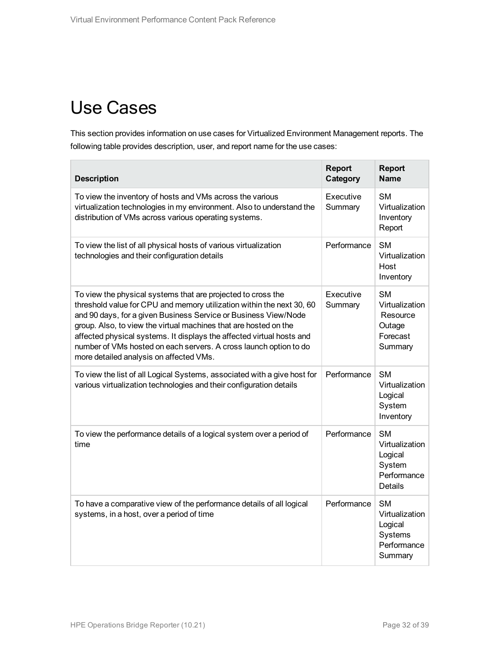## <span id="page-31-0"></span>Use Cases

This section provides information on use cases for Virtualized Environment Management reports. The following table provides description, user, and report name for the use cases:

| <b>Description</b>                                                                                                                                                                                                                                                                                                                                                                                                                                                    | <b>Report</b><br>Category | <b>Report</b><br><b>Name</b>                                                |
|-----------------------------------------------------------------------------------------------------------------------------------------------------------------------------------------------------------------------------------------------------------------------------------------------------------------------------------------------------------------------------------------------------------------------------------------------------------------------|---------------------------|-----------------------------------------------------------------------------|
| To view the inventory of hosts and VMs across the various<br>virtualization technologies in my environment. Also to understand the<br>distribution of VMs across various operating systems.                                                                                                                                                                                                                                                                           | Executive<br>Summary      | <b>SM</b><br>Virtualization<br>Inventory<br>Report                          |
| To view the list of all physical hosts of various virtualization<br>technologies and their configuration details                                                                                                                                                                                                                                                                                                                                                      | Performance               | <b>SM</b><br>Virtualization<br>Host<br>Inventory                            |
| To view the physical systems that are projected to cross the<br>threshold value for CPU and memory utilization within the next 30, 60<br>and 90 days, for a given Business Service or Business View/Node<br>group. Also, to view the virtual machines that are hosted on the<br>affected physical systems. It displays the affected virtual hosts and<br>number of VMs hosted on each servers. A cross launch option to do<br>more detailed analysis on affected VMs. | Executive<br>Summary      | <b>SM</b><br>Virtualization<br>Resource<br>Outage<br>Forecast<br>Summary    |
| To view the list of all Logical Systems, associated with a give host for<br>various virtualization technologies and their configuration details                                                                                                                                                                                                                                                                                                                       | Performance               | <b>SM</b><br>Virtualization<br>Logical<br>System<br>Inventory               |
| To view the performance details of a logical system over a period of<br>time                                                                                                                                                                                                                                                                                                                                                                                          | Performance               | <b>SM</b><br>Virtualization<br>Logical<br>System<br>Performance<br>Details  |
| To have a comparative view of the performance details of all logical<br>systems, in a host, over a period of time                                                                                                                                                                                                                                                                                                                                                     | Performance               | <b>SM</b><br>Virtualization<br>Logical<br>Systems<br>Performance<br>Summary |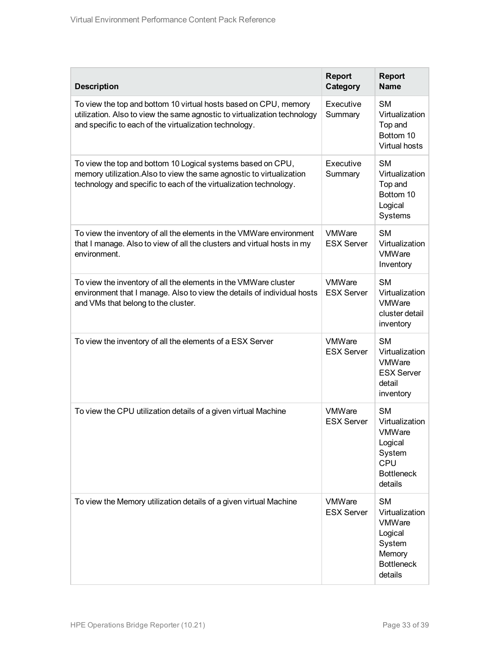| <b>Description</b>                                                                                                                                                                                       | <b>Report</b><br>Category          | <b>Report</b><br><b>Name</b>                                                                         |
|----------------------------------------------------------------------------------------------------------------------------------------------------------------------------------------------------------|------------------------------------|------------------------------------------------------------------------------------------------------|
| To view the top and bottom 10 virtual hosts based on CPU, memory<br>utilization. Also to view the same agnostic to virtualization technology<br>and specific to each of the virtualization technology.   | Executive<br>Summary               | <b>SM</b><br>Virtualization<br>Top and<br>Bottom 10<br>Virtual hosts                                 |
| To view the top and bottom 10 Logical systems based on CPU,<br>memory utilization. Also to view the same agnostic to virtualization<br>technology and specific to each of the virtualization technology. | Executive<br>Summary               | <b>SM</b><br>Virtualization<br>Top and<br>Bottom 10<br>Logical<br>Systems                            |
| To view the inventory of all the elements in the VMWare environment<br>that I manage. Also to view of all the clusters and virtual hosts in my<br>environment.                                           | VMWare<br><b>ESX Server</b>        | <b>SM</b><br>Virtualization<br>VMWare<br>Inventory                                                   |
| To view the inventory of all the elements in the VMWare cluster<br>environment that I manage. Also to view the details of individual hosts<br>and VMs that belong to the cluster.                        | VMWare<br><b>ESX Server</b>        | <b>SM</b><br>Virtualization<br>VMWare<br>cluster detail<br>inventory                                 |
| To view the inventory of all the elements of a ESX Server                                                                                                                                                | VMWare<br><b>ESX Server</b>        | <b>SM</b><br>Virtualization<br>VMWare<br><b>ESX Server</b><br>detail<br>inventory                    |
| To view the CPU utilization details of a given virtual Machine                                                                                                                                           | VMWare<br><b>ESX Server</b>        | <b>SM</b><br>Virtualization<br>VMWare<br>Logical<br>System<br>CPU<br><b>Bottleneck</b><br>details    |
| To view the Memory utilization details of a given virtual Machine                                                                                                                                        | <b>VMWare</b><br><b>ESX Server</b> | <b>SM</b><br>Virtualization<br>VMWare<br>Logical<br>System<br>Memory<br><b>Bottleneck</b><br>details |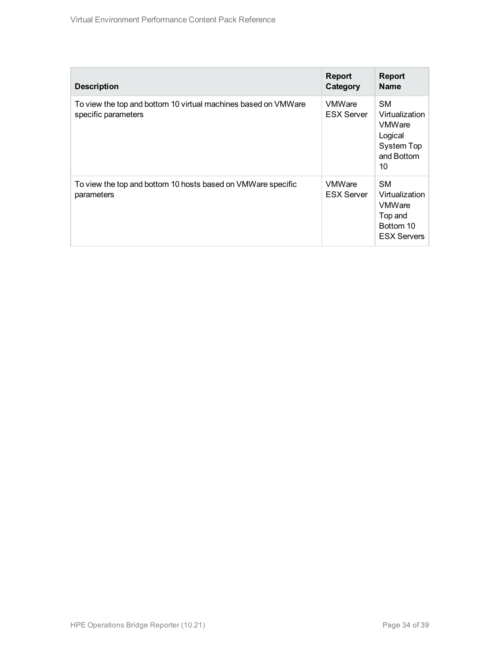| <b>Description</b>                                                                    | <b>Report</b><br>Category          | <b>Report</b><br><b>Name</b>                                                               |
|---------------------------------------------------------------------------------------|------------------------------------|--------------------------------------------------------------------------------------------|
| To view the top and bottom 10 virtual machines based on VMWare<br>specific parameters | <b>VMWare</b><br><b>ESX Server</b> | <b>SM</b><br>Virtualization<br><b>VMWare</b><br>Logical<br>System Top<br>and Bottom<br>10  |
| To view the top and bottom 10 hosts based on VMWare specific<br>parameters            | <b>VMWare</b><br><b>ESX Server</b> | <b>SM</b><br>Virtualization<br><b>VMWare</b><br>Top and<br>Bottom 10<br><b>ESX Servers</b> |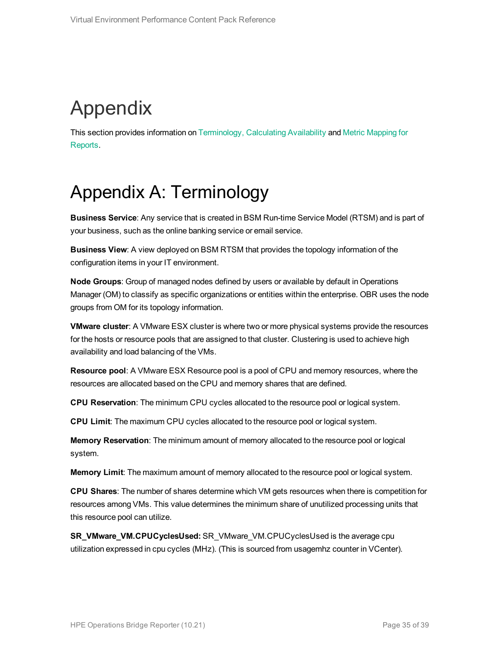# <span id="page-34-0"></span>Appendix

<span id="page-34-1"></span>This section provides information on [Terminology,](#page-34-1) [Calculating](#page-35-0) Availability and Metric [Mapping](#page-36-0) for [Reports.](#page-36-0)

## Appendix A: Terminology

**Business Service**: Any service that is created in BSM Run-time Service Model (RTSM) and is part of your business, such as the online banking service or email service.

**Business View**: A view deployed on BSM RTSM that provides the topology information of the configuration items in your IT environment.

**Node Groups**: Group of managed nodes defined by users or available by default in Operations Manager (OM) to classify as specific organizations or entities within the enterprise. OBR uses the node groups from OM for its topology information.

**VMware cluster**: A VMware ESX cluster is where two or more physical systems provide the resources for the hosts or resource pools that are assigned to that cluster. Clustering is used to achieve high availability and load balancing of the VMs.

**Resource pool**: A VMware ESX Resource pool is a pool of CPU and memory resources, where the resources are allocated based on the CPU and memory shares that are defined.

**CPU Reservation**: The minimum CPU cycles allocated to the resource pool or logical system.

**CPU Limit**: The maximum CPU cycles allocated to the resource pool or logical system.

**Memory Reservation**: The minimum amount of memory allocated to the resource pool or logical system.

**Memory Limit**: The maximum amount of memory allocated to the resource pool or logical system.

**CPU Shares**: The number of shares determine which VM gets resources when there is competition for resources among VMs. This value determines the minimum share of unutilized processing units that this resource pool can utilize.

**SR\_VMware\_VM.CPUCyclesUsed:** SR\_VMware\_VM.CPUCyclesUsed is the average cpu utilization expressed in cpu cycles (MHz). (This is sourced from usagemhz counter in VCenter).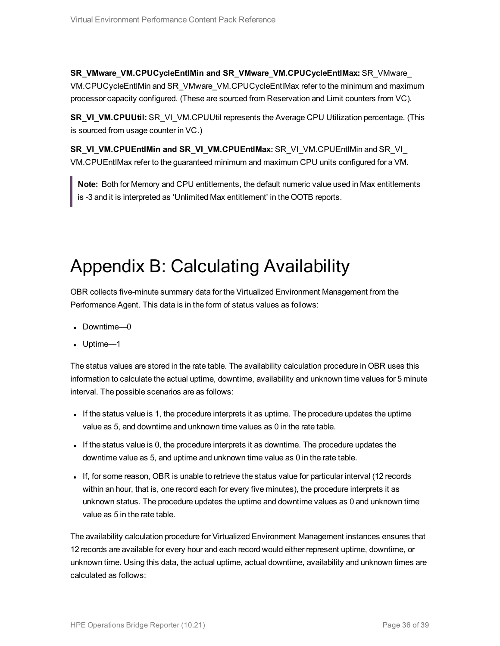**SR\_VMware\_VM.CPUCycleEntlMin and SR\_VMware\_VM.CPUCycleEntlMax:** SR\_VMware\_ VM.CPUCycleEntlMin and SR\_VMware\_VM.CPUCycleEntlMax refer to the minimum and maximum processor capacity configured. (These are sourced from Reservation and Limit counters from VC).

**SR\_VI\_VM.CPUUtil:** SR\_VI\_VM.CPUUtil represents the Average CPU Utilization percentage. (This is sourced from usage counter in VC.)

**SR\_VI\_VM.CPUEntlMin and SR\_VI\_VM.CPUEntlMax:** SR\_VI\_VM.CPUEntlMin and SR\_VI\_ VM.CPUEntlMax refer to the guaranteed minimum and maximum CPU units configured for a VM.

**Note:** Both for Memory and CPU entitlements, the default numeric value used in Max entitlements is -3 and it is interpreted as 'Unlimited Max entitlement' in the OOTB reports.

## <span id="page-35-0"></span>Appendix B: Calculating Availability

OBR collects five-minute summary data for the Virtualized Environment Management from the Performance Agent. This data is in the form of status values as follows:

- Downtime—0
- Uptime—1

The status values are stored in the rate table. The availability calculation procedure in OBR uses this information to calculate the actual uptime, downtime, availability and unknown time values for 5 minute interval. The possible scenarios are as follows:

- If the status value is 1, the procedure interprets it as uptime. The procedure updates the uptime value as 5, and downtime and unknown time values as 0 in the rate table.
- If the status value is 0, the procedure interprets it as downtime. The procedure updates the downtime value as 5, and uptime and unknown time value as 0 in the rate table.
- If, for some reason, OBR is unable to retrieve the status value for particular interval (12 records within an hour, that is, one record each for every five minutes), the procedure interprets it as unknown status. The procedure updates the uptime and downtime values as 0 and unknown time value as 5 in the rate table.

The availability calculation procedure for Virtualized Environment Management instances ensures that 12 records are available for every hour and each record would either represent uptime, downtime, or unknown time. Using this data, the actual uptime, actual downtime, availability and unknown times are calculated as follows: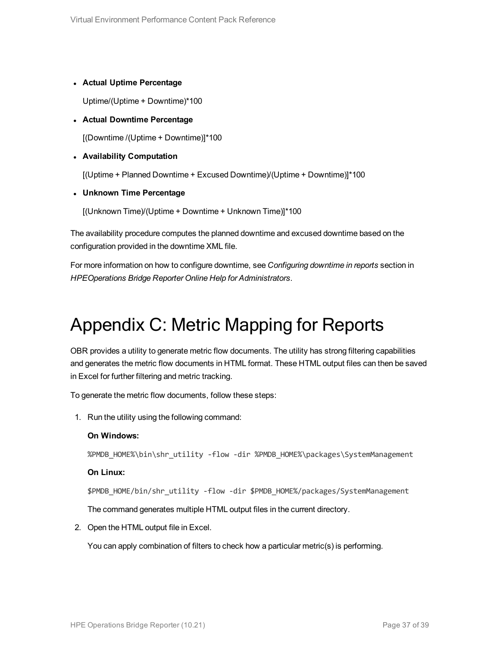#### <sup>l</sup> **Actual Uptime Percentage**

Uptime/(Uptime + Downtime)\*100

#### <sup>l</sup> **Actual Downtime Percentage**

[(Downtime /(Uptime + Downtime)]\*100

#### <sup>l</sup> **Availability Computation**

[(Uptime + Planned Downtime + Excused Downtime)/(Uptime + Downtime)]\*100

<sup>l</sup> **Unknown Time Percentage**

[(Unknown Time)/(Uptime + Downtime + Unknown Time)]\*100

The availability procedure computes the planned downtime and excused downtime based on the configuration provided in the downtime XML file.

<span id="page-36-0"></span>For more information on how to configure downtime, see *Configuring downtime in reports* section in *HPEOperations Bridge Reporter Online Help for Administrators*.

### Appendix C: Metric Mapping for Reports

OBR provides a utility to generate metric flow documents. The utility has strong filtering capabilities and generates the metric flow documents in HTML format. These HTML output files can then be saved in Excel for further filtering and metric tracking.

To generate the metric flow documents, follow these steps:

1. Run the utility using the following command:

#### **On Windows:**

%PMDB\_HOME%\bin\shr\_utility -flow -dir %PMDB\_HOME%\packages\SystemManagement

#### **On Linux:**

\$PMDB\_HOME/bin/shr\_utility -flow -dir \$PMDB\_HOME%/packages/SystemManagement

The command generates multiple HTML output files in the current directory.

2. Open the HTML output file in Excel.

You can apply combination of filters to check how a particular metric(s) is performing.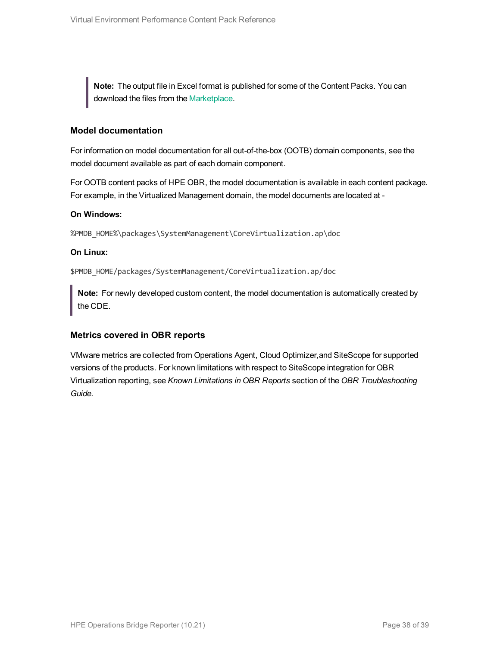**Note:** The output file in Excel format is published for some of the Content Packs. You can download the files from the [Marketplace](https://hpln.hp.com/node/24267/attachment).

#### **Model documentation**

For information on model documentation for all out-of-the-box (OOTB) domain components, see the model document available as part of each domain component.

For OOTB content packs of HPE OBR, the model documentation is available in each content package. For example, in the Virtualized Management domain, the model documents are located at -

#### **On Windows:**

%PMDB\_HOME%\packages\SystemManagement\CoreVirtualization.ap\doc

#### **On Linux:**

\$PMDB\_HOME/packages/SystemManagement/CoreVirtualization.ap/doc

**Note:** For newly developed custom content, the model documentation is automatically created by the CDE.

#### **Metrics covered in OBR reports**

VMware metrics are collected from Operations Agent, Cloud Optimizer,and SiteScope for supported versions of the products. For known limitations with respect to SiteScope integration for OBR Virtualization reporting, see *Known Limitations in OBR Reports* section of the *OBR Troubleshooting Guide.*